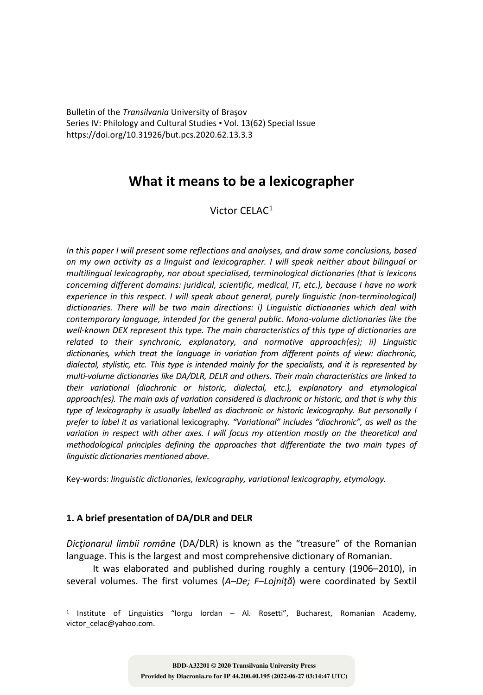Bulletin of the *Transilvania* University of Braşov Series IV: Philology and Cultural Studies • Vol. 13(62) Special Issue https://doi.org/10.31926/but.pcs.2020.62.13.3.3

# **What it means to be a lexicographer**

## Victor CELAC<sup>1</sup>

*In this paper I will present some reflections and analyses, and draw some conclusions, based on my own activity as a linguist and lexicographer. I will speak neither about bilingual or multilingual lexicography, nor about specialised, terminological dictionaries (that is lexicons concerning different domains: juridical, scientific, medical, IT, etc.), because I have no work experience in this respect. I will speak about general, purely linguistic (non-terminological) dictionaries. There will be two main directions: i) Linguistic dictionaries which deal with contemporary language, intended for the general public. Mono-volume dictionaries like the well-known DEX represent this type. The main characteristics of this type of dictionaries are related to their synchronic, explanatory, and normative approach(es); ii) Linguistic dictionaries, which treat the language in variation from different points of view: diachronic, dialectal, stylistic, etc. This type is intended mainly for the specialists, and it is represented by multi-volume dictionaries like DA/DLR, DELR and others. Their main characteristics are linked to their variational (diachronic or historic, dialectal, etc.), explanatory and etymological approach(es). The main axis of variation considered is diachronic or historic, and that is why this type of lexicography is usually labelled as diachronic or historic lexicography. But personally I prefer to label it as* variational lexicography*. "Variational" includes "diachronic", as well as the variation in respect with other axes. I will focus my attention mostly on the theoretical and methodological principles defining the approaches that differentiate the two main types of linguistic dictionaries mentioned above.* 

Key-words: *linguistic dictionaries, lexicography, variational lexicography, etymology.*

# **1. A brief presentation of DA/DLR and DELR**

*Dicţionarul limbii române* (DA/DLR) is known as the "treasure" of the Romanian language. This is the largest and most comprehensive dictionary of Romanian.

It was elaborated and published during roughly a century (1906–2010), in several volumes. The first volumes (*A–De; F–Lojniţă*) were coordinated by Sextil

<sup>1</sup> Institute of Linguistics "Iorgu Iordan – Al. Rosetti", Bucharest, Romanian Academy, victor\_celac@yahoo.com.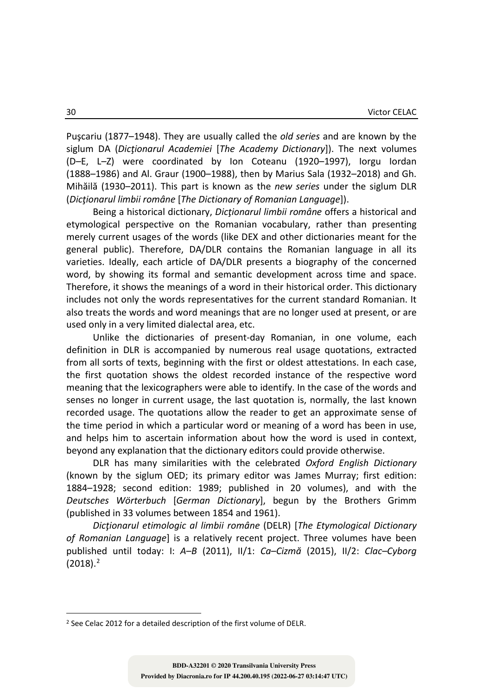Puşcariu (1877–1948). They are usually called the *old series* and are known by the siglum DA (*Dicţionarul Academiei* [*The Academy Dictionary*]). The next volumes (D–E, L–Z) were coordinated by Ion Coteanu (1920–1997), Iorgu Iordan (1888–1986) and Al. Graur (1900–1988), then by Marius Sala (1932–2018) and Gh. Mihăilă (1930–2011). This part is known as the *new series* under the siglum DLR (*Dicţionarul limbii române* [*The Dictionary of Romanian Language*]).

Being a historical dictionary, *Dicţionarul limbii române* offers a historical and etymological perspective on the Romanian vocabulary, rather than presenting merely current usages of the words (like DEX and other dictionaries meant for the general public). Therefore, DA/DLR contains the Romanian language in all its varieties. Ideally, each article of DA/DLR presents a biography of the concerned word, by showing its formal and semantic development across time and space. Therefore, it shows the meanings of a word in their historical order. This dictionary includes not only the words representatives for the current standard Romanian. It also treats the words and word meanings that are no longer used at present, or are used only in a very limited dialectal area, etc.

Unlike the dictionaries of present-day Romanian, in one volume, each definition in DLR is accompanied by numerous real usage quotations, extracted from all sorts of texts, beginning with the first or oldest attestations. In each case, the first quotation shows the oldest recorded instance of the respective word meaning that the lexicographers were able to identify. In the case of the words and senses no longer in current usage, the last quotation is, normally, the last known recorded usage. The quotations allow the reader to get an approximate sense of the time period in which a particular word or meaning of a word has been in use, and helps him to ascertain information about how the word is used in context, beyond any explanation that the dictionary editors could provide otherwise.

DLR has many similarities with the celebrated *Oxford English Dictionary* (known by the siglum OED; its primary editor was James Murray; first edition: 1884–1928; second edition: 1989; published in 20 volumes), and with the *Deutsches Wörterbuch* [*German Dictionary*], begun by the Brothers Grimm (published in 33 volumes between 1854 and 1961).

*Dicţionarul etimologic al limbii române* (DELR) [*The Etymological Dictionary of Romanian Language*] is a relatively recent project. Three volumes have been published until today: I: *A–B* (2011), II/1: *Ca–Cizmă* (2015), II/2: *Clac–Cyborg*  $(2018).<sup>2</sup>$ 

<sup>2</sup> See Celac 2012 for a detailed description of the first volume of DELR.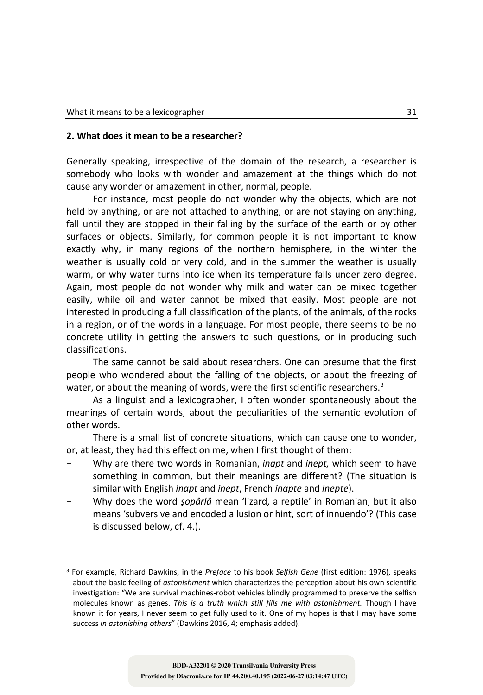#### **2. What does it mean to be a researcher?**

Generally speaking, irrespective of the domain of the research, a researcher is somebody who looks with wonder and amazement at the things which do not cause any wonder or amazement in other, normal, people.

For instance, most people do not wonder why the objects, which are not held by anything, or are not attached to anything, or are not staying on anything, fall until they are stopped in their falling by the surface of the earth or by other surfaces or objects. Similarly, for common people it is not important to know exactly why, in many regions of the northern hemisphere, in the winter the weather is usually cold or very cold, and in the summer the weather is usually warm, or why water turns into ice when its temperature falls under zero degree. Again, most people do not wonder why milk and water can be mixed together easily, while oil and water cannot be mixed that easily. Most people are not interested in producing a full classification of the plants, of the animals, of the rocks in a region, or of the words in a language. For most people, there seems to be no concrete utility in getting the answers to such questions, or in producing such classifications.

The same cannot be said about researchers. One can presume that the first people who wondered about the falling of the objects, or about the freezing of water, or about the meaning of words, were the first scientific researchers.<sup>3</sup>

As a linguist and a lexicographer, I often wonder spontaneously about the meanings of certain words, about the peculiarities of the semantic evolution of other words.

There is a small list of concrete situations, which can cause one to wonder, or, at least, they had this effect on me, when I first thought of them:

- Why are there two words in Romanian, *inapt* and *inept,* which seem to have something in common, but their meanings are different? (The situation is similar with English *inapt* and *inept*, French *inapte* and *inepte*).
- Why does the word *şopârlă* mean 'lizard, a reptile' in Romanian, but it also means 'subversive and encoded allusion or hint, sort of innuendo'? (This case is discussed below, cf. 4.).

<sup>3</sup> For example, Richard Dawkins, in the *Preface* to his book *Selfish Gene* (first edition: 1976), speaks about the basic feeling of *astonishment* which characterizes the perception about his own scientific investigation: "We are survival machines-robot vehicles blindly programmed to preserve the selfish molecules known as genes. *This is a truth which still fills me with astonishment.* Though I have known it for years, I never seem to get fully used to it. One of my hopes is that I may have some success *in astonishing others*" (Dawkins 2016, 4; emphasis added).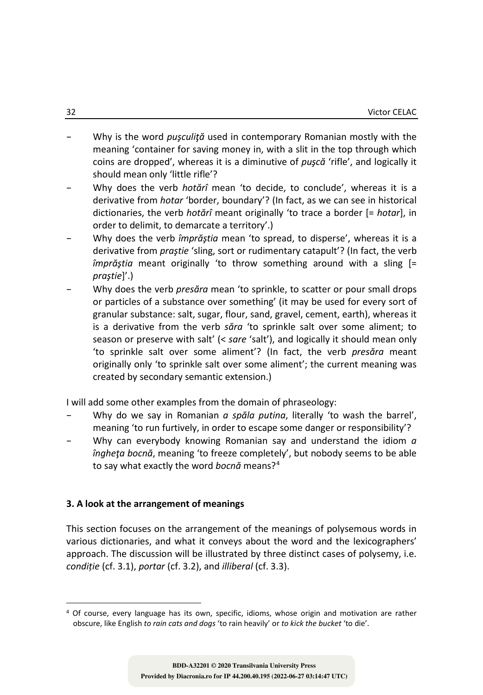- Why is the word *puşculiţă* used in contemporary Romanian mostly with the meaning 'container for saving money in, with a slit in the top through which coins are dropped', whereas it is a diminutive of *puşcă* 'rifle', and logically it should mean only 'little rifle'?
- Why does the verb *hotărî* mean 'to decide, to conclude', whereas it is a derivative from *hotar* 'border, boundary'? (In fact, as we can see in historical dictionaries, the verb *hotărî* meant originally 'to trace a border [= *hotar*], in order to delimit, to demarcate a territory'.)
- Why does the verb *împrăştia* mean 'to spread, to disperse', whereas it is a derivative from *praştie* 'sling, sort or rudimentary catapult'? (In fact, the verb *împrăştia* meant originally 'to throw something around with a sling [= *praştie*]'.)
- Why does the verb *presăra* mean 'to sprinkle, to scatter or pour small drops or particles of a substance over something' (it may be used for every sort of granular substance: salt, sugar, flour, sand, gravel, cement, earth), whereas it is a derivative from the verb *săra* 'to sprinkle salt over some aliment; to season or preserve with salt' (< *sare* 'salt'), and logically it should mean only 'to sprinkle salt over some aliment'? (In fact, the verb *presăra* meant originally only 'to sprinkle salt over some aliment'; the current meaning was created by secondary semantic extension.)

I will add some other examples from the domain of phraseology:

- Why do we say in Romanian *a spăla putina*, literally 'to wash the barrel', meaning 'to run furtively, in order to escape some danger or responsibility'?
- Why can everybody knowing Romanian say and understand the idiom *a îngheţa bocnă*, meaning 'to freeze completely', but nobody seems to be able to say what exactly the word *bocnă* means?4

## **3. A look at the arrangement of meanings**

This section focuses on the arrangement of the meanings of polysemous words in various dictionaries, and what it conveys about the word and the lexicographers' approach. The discussion will be illustrated by three distinct cases of polysemy, i.e. *condiție* (cf. 3.1), *portar* (cf. 3.2), and *illiberal* (cf. 3.3).

<sup>4</sup> Of course, every language has its own, specific, idioms, whose origin and motivation are rather obscure, like English *to rain cats and dogs* 'to rain heavily' or *to kick the bucket* 'to die'.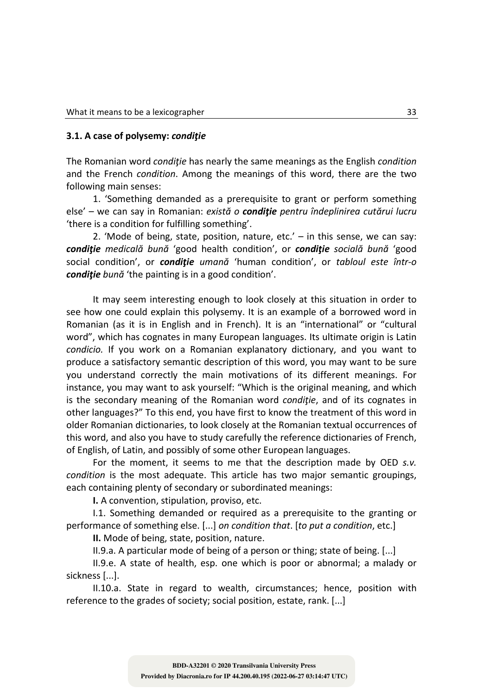#### **3.1. A case of polysemy:** *condiţie*

The Romanian word *condiţie* has nearly the same meanings as the English *condition* and the French *condition*. Among the meanings of this word, there are the two following main senses:

1. 'Something demanded as a prerequisite to grant or perform something else' – we can say in Romanian: *există o condiţie pentru îndeplinirea cutărui lucru* 'there is a condition for fulfilling something'.

2. 'Mode of being, state, position, nature, etc.'  $-$  in this sense, we can say: *condiţie medicală bună* 'good health condition', or *condiţie socială bună* 'good social condition', or *condiţie umană* 'human condition', or *tabloul este într-o condiţie bună* 'the painting is in a good condition'.

It may seem interesting enough to look closely at this situation in order to see how one could explain this polysemy. It is an example of a borrowed word in Romanian (as it is in English and in French). It is an "international" or "cultural word", which has cognates in many European languages. Its ultimate origin is Latin *condicio.* If you work on a Romanian explanatory dictionary, and you want to produce a satisfactory semantic description of this word, you may want to be sure you understand correctly the main motivations of its different meanings. For instance, you may want to ask yourself: "Which is the original meaning, and which is the secondary meaning of the Romanian word *condiţie*, and of its cognates in other languages?" To this end, you have first to know the treatment of this word in older Romanian dictionaries, to look closely at the Romanian textual occurrences of this word, and also you have to study carefully the reference dictionaries of French, of English, of Latin, and possibly of some other European languages.

For the moment, it seems to me that the description made by OED *s.v. condition* is the most adequate. This article has two major semantic groupings, each containing plenty of secondary or subordinated meanings:

**I.** A convention, stipulation, proviso, etc.

I.1. Something demanded or required as a prerequisite to the granting or performance of something else. [...] *on condition that*. [*to put a condition*, etc.]

**II.** Mode of being, state, position, nature.

II.9.a. A particular mode of being of a person or thing; state of being. [...]

II.9.e. A state of health, esp. one which is poor or abnormal; a malady or sickness [...].

II.10.a. State in regard to wealth, circumstances; hence, position with reference to the grades of society; social position, estate, rank. [...]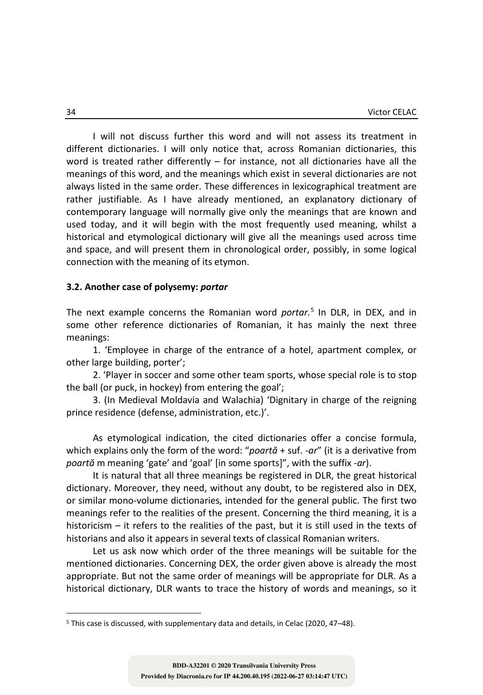I will not discuss further this word and will not assess its treatment in different dictionaries. I will only notice that, across Romanian dictionaries, this word is treated rather differently  $-$  for instance, not all dictionaries have all the meanings of this word, and the meanings which exist in several dictionaries are not always listed in the same order. These differences in lexicographical treatment are rather justifiable. As I have already mentioned, an explanatory dictionary of contemporary language will normally give only the meanings that are known and used today, and it will begin with the most frequently used meaning, whilst a historical and etymological dictionary will give all the meanings used across time and space, and will present them in chronological order, possibly, in some logical connection with the meaning of its etymon.

#### **3.2. Another case of polysemy:** *portar*

The next example concerns the Romanian word *portar.*<sup>5</sup> In DLR, in DEX, and in some other reference dictionaries of Romanian, it has mainly the next three meanings:

1. 'Employee in charge of the entrance of a hotel, apartment complex, or other large building, porter';

2. 'Player in soccer and some other team sports, whose special role is to stop the ball (or puck, in hockey) from entering the goal';

3. (In Medieval Moldavia and Walachia) 'Dignitary in charge of the reigning prince residence (defense, administration, etc.)'.

As etymological indication, the cited dictionaries offer a concise formula, which explains only the form of the word: "*poartă* + suf. *-ar*" (it is a derivative from *poartă* m meaning 'gate' and 'goal' [in some sports]", with the suffix *-ar*).

It is natural that all three meanings be registered in DLR, the great historical dictionary. Moreover, they need, without any doubt, to be registered also in DEX, or similar mono-volume dictionaries, intended for the general public. The first two meanings refer to the realities of the present. Concerning the third meaning, it is a historicism *–* it refers to the realities of the past, but it is still used in the texts of historians and also it appears in several texts of classical Romanian writers.

Let us ask now which order of the three meanings will be suitable for the mentioned dictionaries. Concerning DEX, the order given above is already the most appropriate. But not the same order of meanings will be appropriate for DLR. As a historical dictionary, DLR wants to trace the history of words and meanings, so it

<sup>5</sup> This case is discussed, with supplementary data and details, in Celac (2020, 47–48).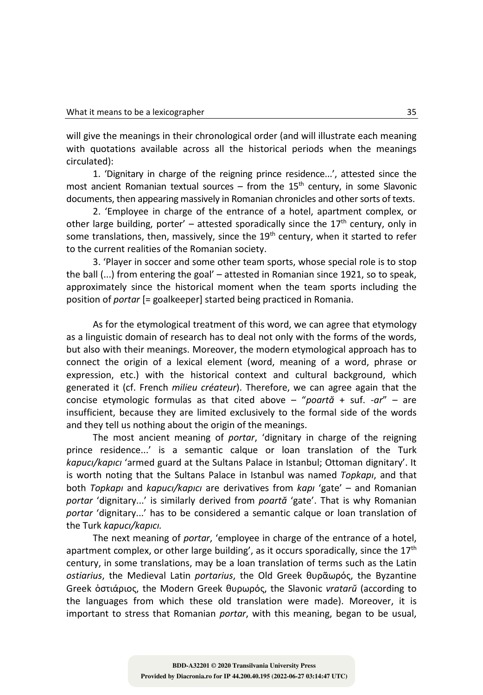will give the meanings in their chronological order (and will illustrate each meaning with quotations available across all the historical periods when the meanings circulated):

1. 'Dignitary in charge of the reigning prince residence...', attested since the most ancient Romanian textual sources – from the  $15<sup>th</sup>$  century, in some Slavonic documents, then appearing massively in Romanian chronicles and other sorts of texts.

2. 'Employee in charge of the entrance of a hotel, apartment complex, or other large building, porter' – attested sporadically since the 17<sup>th</sup> century, only in some translations, then, massively, since the  $19<sup>th</sup>$  century, when it started to refer to the current realities of the Romanian society.

3. 'Player in soccer and some other team sports, whose special role is to stop the ball (...) from entering the goal' – attested in Romanian since 1921, so to speak, approximately since the historical moment when the team sports including the position of *portar* [= goalkeeper] started being practiced in Romania.

As for the etymological treatment of this word, we can agree that etymology as a linguistic domain of research has to deal not only with the forms of the words, but also with their meanings. Moreover, the modern etymological approach has to connect the origin of a lexical element (word, meaning of a word, phrase or expression, etc.) with the historical context and cultural background, which generated it (cf. French *milieu créateur*). Therefore, we can agree again that the concise etymologic formulas as that cited above – "*poartă* + suf. *-ar*" – are insufficient, because they are limited exclusively to the formal side of the words and they tell us nothing about the origin of the meanings.

The most ancient meaning of *portar*, 'dignitary in charge of the reigning prince residence...' is a semantic calque or loan translation of the Turk *kapucı/kapıcı* 'armed guard at the Sultans Palace in Istanbul; Ottoman dignitary'. It is worth noting that the Sultans Palace in Istanbul was named *Topkapı*, and that both *Topkapı* and *kapucı/kapıcı* are derivatives from *kapı* 'gate' – and Romanian *portar* 'dignitary...' is similarly derived from *poartă* 'gate'. That is why Romanian *portar* 'dignitary...' has to be considered a semantic calque or loan translation of the Turk *kapucı/kapıcı.*

The next meaning of *portar*, 'employee in charge of the entrance of a hotel, apartment complex, or other large building', as it occurs sporadically, since the  $17<sup>th</sup>$ century, in some translations, may be a loan translation of terms such as the Latin *ostiarius*, the Medieval Latin *portarius*, the Old Greek θυρᾶωρός, the Byzantine Greek ὀστιάριος, the Modern Greek θυρωρός, the Slavonic *vratarŭ* (according to the languages from which these old translation were made). Moreover, it is important to stress that Romanian *portar*, with this meaning, began to be usual,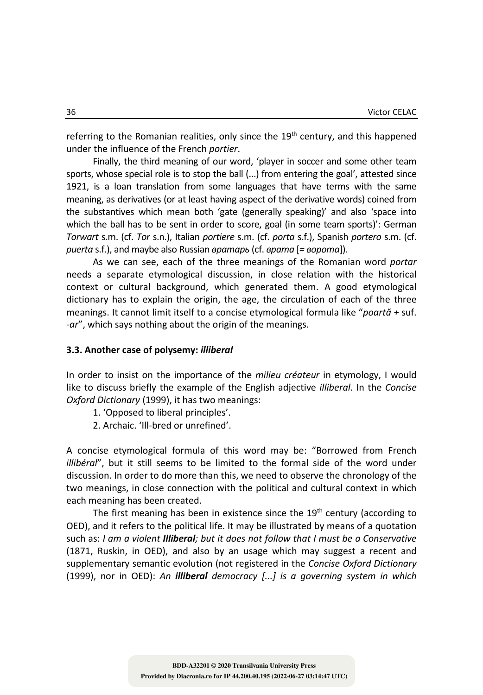referring to the Romanian realities, only since the  $19<sup>th</sup>$  century, and this happened under the influence of the French *portier*.

Finally, the third meaning of our word, 'player in soccer and some other team sports, whose special role is to stop the ball (...) from entering the goal', attested since 1921, is a loan translation from some languages that have terms with the same meaning, as derivatives (or at least having aspect of the derivative words) coined from the substantives which mean both 'gate (generally speaking)' and also 'space into which the ball has to be sent in order to score, goal (in some team sports)': German *Torwart* s.m. (cf. *Tor* s.n.), Italian *portiere* s.m. (cf. *porta* s.f.), Spanish *portero* s.m. (cf. *puerta* s.f.), and maybe also Russian *вратарь* (cf. *врата* [*= ворота*]).

As we can see, each of the three meanings of the Romanian word *portar* needs a separate etymological discussion, in close relation with the historical context or cultural background, which generated them. A good etymological dictionary has to explain the origin, the age, the circulation of each of the three meanings. It cannot limit itself to a concise etymological formula like "*poartă +* suf. *-ar*", which says nothing about the origin of the meanings.

### **3.3. Another case of polysemy:** *illiberal*

In order to insist on the importance of the *milieu créateur* in etymology, I would like to discuss briefly the example of the English adjective *illiberal.* In the *Concise Oxford Dictionary* (1999), it has two meanings:

- 1. 'Opposed to liberal principles'.
- 2. Archaic. 'Ill-bred or unrefined'.

A concise etymological formula of this word may be: "Borrowed from French *illibéral*", but it still seems to be limited to the formal side of the word under discussion. In order to do more than this, we need to observe the chronology of the two meanings, in close connection with the political and cultural context in which each meaning has been created.

The first meaning has been in existence since the  $19<sup>th</sup>$  century (according to OED), and it refers to the political life. It may be illustrated by means of a quotation such as: *I am a violent Illiberal; but it does not follow that I must be a Conservative* (1871, Ruskin, in OED), and also by an usage which may suggest a recent and supplementary semantic evolution (not registered in the *Concise Oxford Dictionary* (1999), nor in OED): *An illiberal democracy [...] is a governing system in which*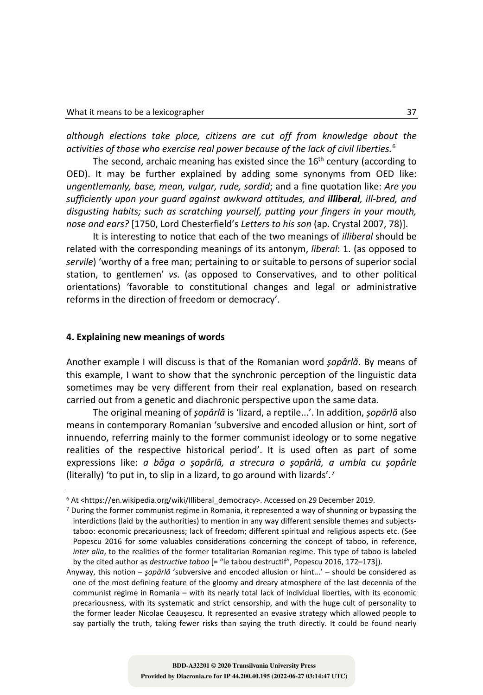*although elections take place, citizens are cut off from knowledge about the activities of those who exercise real power because of the lack of civil liberties.*<sup>6</sup>

The second, archaic meaning has existed since the  $16<sup>th</sup>$  century (according to OED). It may be further explained by adding some synonyms from OED like: *ungentlemanly, base, mean, vulgar, rude, sordid*; and a fine quotation like: *Are you sufficiently upon your guard against awkward attitudes, and illiberal, ill-bred, and disgusting habits; such as scratching yourself, putting your fingers in your mouth, nose and ears?* [1750, Lord Chesterfield's *Letters to his son* (ap. Crystal 2007, 78)].

It is interesting to notice that each of the two meanings of *illiberal* should be related with the corresponding meanings of its antonym, *liberal*: 1. (as opposed to *servile*) 'worthy of a free man; pertaining to or suitable to persons of superior social station, to gentlemen' *vs.* (as opposed to Conservatives, and to other political orientations) 'favorable to constitutional changes and legal or administrative reforms in the direction of freedom or democracy'.

## **4. Explaining new meanings of words**

Another example I will discuss is that of the Romanian word *şopârlă*. By means of this example, I want to show that the synchronic perception of the linguistic data sometimes may be very different from their real explanation, based on research carried out from a genetic and diachronic perspective upon the same data.

The original meaning of *şopârlă* is 'lizard, a reptile...'. In addition, *şopârlă* also means in contemporary Romanian 'subversive and encoded allusion or hint, sort of innuendo, referring mainly to the former communist ideology or to some negative realities of the respective historical period'. It is used often as part of some expressions like: *a băga o şopârlă, a strecura o şopârlă, a umbla cu şopârle*  (literally) 'to put in, to slip in a lizard, to go around with lizards'.<sup>7</sup>

<sup>&</sup>lt;sup>6</sup> At <https://en.wikipedia.org/wiki/Illiberal\_democracy>. Accessed on 29 December 2019.

<sup>7</sup> During the former communist regime in Romania, it represented a way of shunning or bypassing the interdictions (laid by the authorities) to mention in any way different sensible themes and subjectstaboo: economic precariousness; lack of freedom; different spiritual and religious aspects etc. (See Popescu 2016 for some valuables considerations concerning the concept of taboo, in reference, *inter alia*, to the realities of the former totalitarian Romanian regime. This type of taboo is labeled by the cited author as *destructive taboo* [= "le tabou destructif", Popescu 2016, 172-173]).

Anyway, this notion – *şopârlă* 'subversive and encoded allusion or hint...' – should be considered as one of the most defining feature of the gloomy and dreary atmosphere of the last decennia of the communist regime in Romania – with its nearly total lack of individual liberties, with its economic precariousness, with its systematic and strict censorship, and with the huge cult of personality to the former leader Nicolae Ceauşescu. It represented an evasive strategy which allowed people to say partially the truth, taking fewer risks than saying the truth directly. It could be found nearly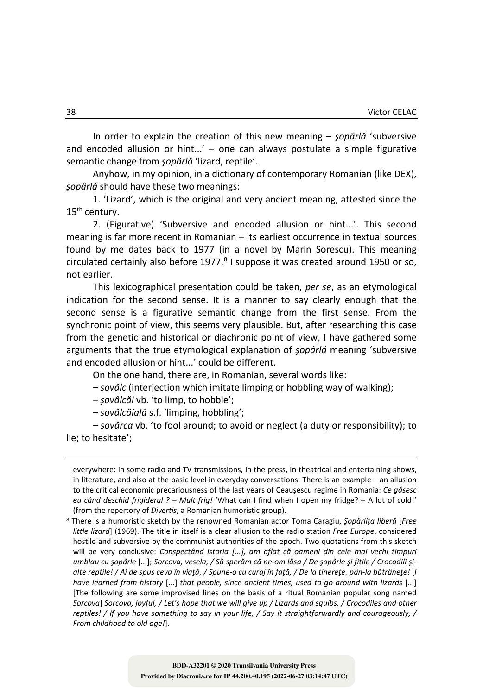In order to explain the creation of this new meaning – *şopârlă* 'subversive and encoded allusion or hint...' – one can always postulate a simple figurative semantic change from *şopârlă* 'lizard, reptile'.

Anyhow, in my opinion, in a dictionary of contemporary Romanian (like DEX), *şopârlă* should have these two meanings:

1. 'Lizard', which is the original and very ancient meaning, attested since the 15<sup>th</sup> century.

2. (Figurative) 'Subversive and encoded allusion or hint...'. This second meaning is far more recent in Romanian – its earliest occurrence in textual sources found by me dates back to 1977 (in a novel by Marin Sorescu). This meaning circulated certainly also before  $1977<sup>8</sup>$  I suppose it was created around 1950 or so, not earlier.

This lexicographical presentation could be taken, *per se*, as an etymological indication for the second sense. It is a manner to say clearly enough that the second sense is a figurative semantic change from the first sense. From the synchronic point of view, this seems very plausible. But, after researching this case from the genetic and historical or diachronic point of view, I have gathered some arguments that the true etymological explanation of *şopârlă* meaning 'subversive and encoded allusion or hint...' could be different.

On the one hand, there are, in Romanian, several words like:

– *şovâlc* (interjection which imitate limping or hobbling way of walking);

– *şovâlcăi* vb. 'to limp, to hobble';

– *şovâlcăială* s.f. 'limping, hobbling';

*– şovârca* vb. 'to fool around; to avoid or neglect (a duty or responsibility); to lie; to hesitate';

everywhere: in some radio and TV transmissions, in the press, in theatrical and entertaining shows, in literature, and also at the basic level in everyday conversations. There is an example – an allusion to the critical economic precariousness of the last years of Ceauşescu regime in Romania: *Ce găsesc eu când deschid frigiderul ? – Mult frig!* 'What can I find when I open my fridge? – A lot of cold!' (from the repertory of *Divertis*, a Romanian humoristic group).

<sup>8</sup> There is a humoristic sketch by the renowned Romanian actor Toma Caragiu, *Şopârliţa liberă* [*Free little lizard*] (1969). The title in itself is a clear allusion to the radio station *Free Europe*, considered hostile and subversive by the communist authorities of the epoch. Two quotations from this sketch will be very conclusive: *Conspectând istoria [...], am aflat că oameni din cele mai vechi timpuri umblau cu şopârle* [...]; *Sorcova, vesela, / Să sperăm că ne-om lăsa / De şopârle şi fitile / Crocodili şialte reptile! / Ai de spus ceva în viaţă, / Spune-o cu curaj în faţă, / De la tinereţe, pân-la bătrâneţe!* [*I have learned from history* [...] *that people, since ancient times, used to go around with lizards* [...] [The following are some improvised lines on the basis of a ritual Romanian popular song named *Sorcova*] *Sorcova, joyful, / Let's hope that we will give up / Lizards and squibs, / Crocodiles and other reptiles! / If you have something to say in your life, / Say it straightforwardly and courageously, / From childhood to old age!*].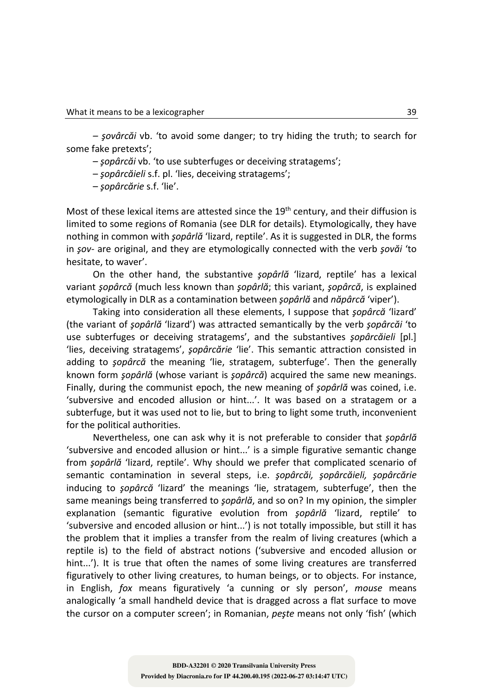*– şovârcăi* vb. 'to avoid some danger; to try hiding the truth; to search for some fake pretexts';

– *şopârcăi* vb. 'to use subterfuges or deceiving stratagems';

– *şopârcăieli* s.f. pl. 'lies, deceiving stratagems';

– *şopârcărie* s.f. 'lie'.

Most of these lexical items are attested since the  $19<sup>th</sup>$  century, and their diffusion is limited to some regions of Romania (see DLR for details). Etymologically, they have nothing in common with *şopârlă* 'lizard, reptile'. As it is suggested in DLR, the forms in *şov-* are original, and they are etymologically connected with the verb *şovăi* 'to hesitate, to waver'.

On the other hand, the substantive *şopârlă* 'lizard, reptile' has a lexical variant *şopârcă* (much less known than *şopârlă*; this variant, *şopârcă*, is explained etymologically in DLR as a contamination between *şopârlă* and *năpârcă* 'viper').

Taking into consideration all these elements, I suppose that *şopârcă* 'lizard' (the variant of *şopârlă* 'lizard') was attracted semantically by the verb *şopârcăi* 'to use subterfuges or deceiving stratagems', and the substantives *şopârcăieli* [pl.] 'lies, deceiving stratagems', *şopârcărie* 'lie'. This semantic attraction consisted in adding to *şopârcă* the meaning 'lie, stratagem, subterfuge'. Then the generally known form *şopârlă* (whose variant is *şopârcă*) acquired the same new meanings. Finally, during the communist epoch, the new meaning of *şopârlă* was coined, i.e. 'subversive and encoded allusion or hint...'. It was based on a stratagem or a subterfuge, but it was used not to lie, but to bring to light some truth, inconvenient for the political authorities.

Nevertheless, one can ask why it is not preferable to consider that *şopârlă*  'subversive and encoded allusion or hint...' is a simple figurative semantic change from *şopârlă* 'lizard, reptile'. Why should we prefer that complicated scenario of semantic contamination in several steps, i.e. *şopârcăi, şopârcăieli, şopârcărie* inducing to *şopârcă* 'lizard' the meanings 'lie, stratagem, subterfuge', then the same meanings being transferred to *şopârlă*, and so on? In my opinion, the simpler explanation (semantic figurative evolution from *şopârlă* 'lizard, reptile' to 'subversive and encoded allusion or hint...') is not totally impossible, but still it has the problem that it implies a transfer from the realm of living creatures (which a reptile is) to the field of abstract notions ('subversive and encoded allusion or hint...'). It is true that often the names of some living creatures are transferred figuratively to other living creatures, to human beings, or to objects. For instance, in English, *fox* means figuratively 'a cunning or sly person', *mouse* means analogically 'a small handheld device that is dragged across a flat surface to move the cursor on a computer screen'; in Romanian, *peşte* means not only 'fish' (which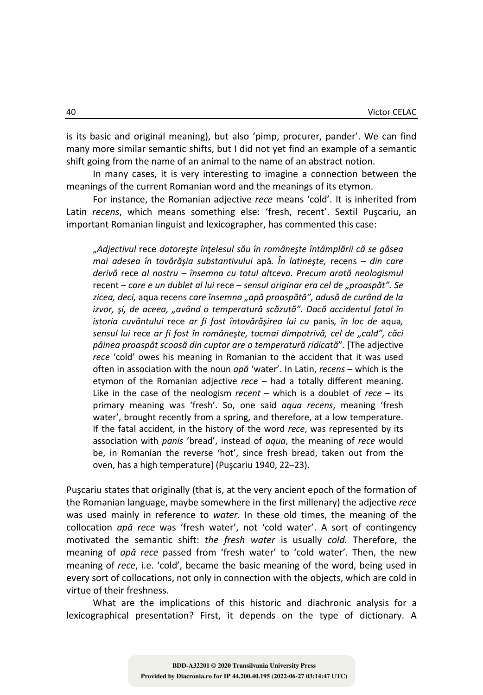is its basic and original meaning), but also 'pimp, procurer, pander'. We can find many more similar semantic shifts, but I did not yet find an example of a semantic shift going from the name of an animal to the name of an abstract notion.

In many cases, it is very interesting to imagine a connection between the meanings of the current Romanian word and the meanings of its etymon.

For instance, the Romanian adjective *rece* means 'cold'. It is inherited from Latin *recens*, which means something else: 'fresh, recent'. Sextil Puşcariu, an important Romanian linguist and lexicographer, has commented this case:

"*Adjectivul* rece *datoreşte înţelesul său în româneşte întâmplării că se găsea mai adesea în tovărăşia substantivului* apă*. În latineşte,* recens *– din care derivă* rece *al nostru – însemna cu totul altceva. Precum arată neologismul*  recent *– care e un dublet al lui* rece *– sensul originar era cel de "proaspăt". Se*  zicea, deci, aqua recens care însemna "apă proaspătă", adusă de curând de la *izvor, şi, de aceea, "având o temperatură scăzută". Dacă accidentul fatal în istoria cuvântului* rece *ar fi fost întovărăşirea lui cu* panis*, în loc de* aqua*, sensul lui* rece *ar fi fost în româneşte, tocmai dimpotrivă, cel de "cald", căci pâinea proaspăt scoasă din cuptor are o temperatură ridicată*". [The adjective *rece* 'cold' owes his meaning in Romanian to the accident that it was used often in association with the noun *apă* 'water'. In Latin, *recens* – which is the etymon of the Romanian adjective *rece* – had a totally different meaning. Like in the case of the neologism *recent* – which is a doublet of *rece* – its primary meaning was 'fresh'. So, one said *aqua recens*, meaning 'fresh water', brought recently from a spring, and therefore, at a low temperature. If the fatal accident, in the history of the word *rece*, was represented by its association with *panis* 'bread', instead of *aqua*, the meaning of *rece* would be, in Romanian the reverse 'hot', since fresh bread, taken out from the oven, has a high temperature] (Puşcariu 1940, 22–23).

Puşcariu states that originally (that is, at the very ancient epoch of the formation of the Romanian language, maybe somewhere in the first millenary) the adjective *rece*  was used mainly in reference to *water.* In these old times, the meaning of the collocation *apă rece* was 'fresh water', not 'cold water'. A sort of contingency motivated the semantic shift: *the fresh water* is usually *cold.* Therefore, the meaning of *apă rece* passed from 'fresh water' to 'cold water'. Then, the new meaning of *rece*, i.e. 'cold', became the basic meaning of the word, being used in every sort of collocations, not only in connection with the objects, which are cold in virtue of their freshness.

What are the implications of this historic and diachronic analysis for a lexicographical presentation? First, it depends on the type of dictionary. A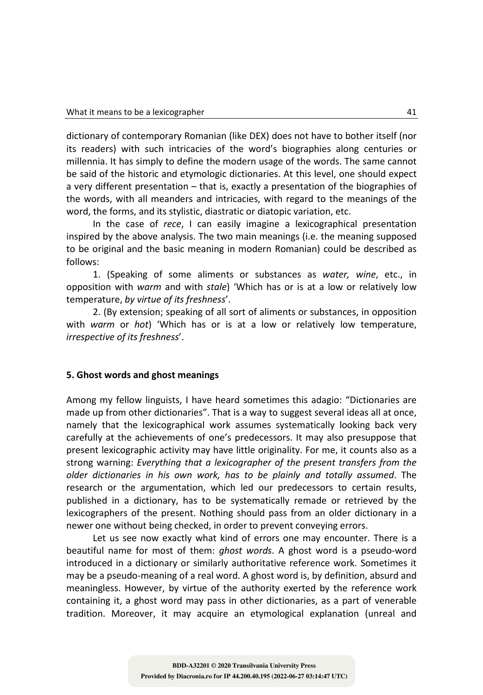dictionary of contemporary Romanian (like DEX) does not have to bother itself (nor its readers) with such intricacies of the word's biographies along centuries or millennia. It has simply to define the modern usage of the words. The same cannot be said of the historic and etymologic dictionaries. At this level, one should expect a very different presentation – that is, exactly a presentation of the biographies of the words, with all meanders and intricacies, with regard to the meanings of the word, the forms, and its stylistic, diastratic or diatopic variation, etc.

In the case of *rece*, I can easily imagine a lexicographical presentation inspired by the above analysis. The two main meanings (i.e. the meaning supposed to be original and the basic meaning in modern Romanian) could be described as follows:

1. (Speaking of some aliments or substances as *water, wine*, etc., in opposition with *warm* and with *stale*) 'Which has or is at a low or relatively low temperature, *by virtue of its freshness*'.

2. (By extension; speaking of all sort of aliments or substances, in opposition with *warm* or *hot*) 'Which has or is at a low or relatively low temperature, *irrespective of its freshness*'.

## **5. Ghost words and ghost meanings**

Among my fellow linguists, I have heard sometimes this adagio: "Dictionaries are made up from other dictionaries". That is a way to suggest several ideas all at once, namely that the lexicographical work assumes systematically looking back very carefully at the achievements of one's predecessors. It may also presuppose that present lexicographic activity may have little originality. For me, it counts also as a strong warning: *Everything that a lexicographer of the present transfers from the older dictionaries in his own work, has to be plainly and totally assumed*. The research or the argumentation, which led our predecessors to certain results, published in a dictionary, has to be systematically remade or retrieved by the lexicographers of the present. Nothing should pass from an older dictionary in a newer one without being checked, in order to prevent conveying errors.

Let us see now exactly what kind of errors one may encounter. There is a beautiful name for most of them: *ghost words*. A ghost word is a pseudo-word introduced in a dictionary or similarly authoritative reference work. Sometimes it may be a pseudo-meaning of a real word. A ghost word is, by definition, absurd and meaningless. However, by virtue of the authority exerted by the reference work containing it, a ghost word may pass in other dictionaries, as a part of venerable tradition. Moreover, it may acquire an etymological explanation (unreal and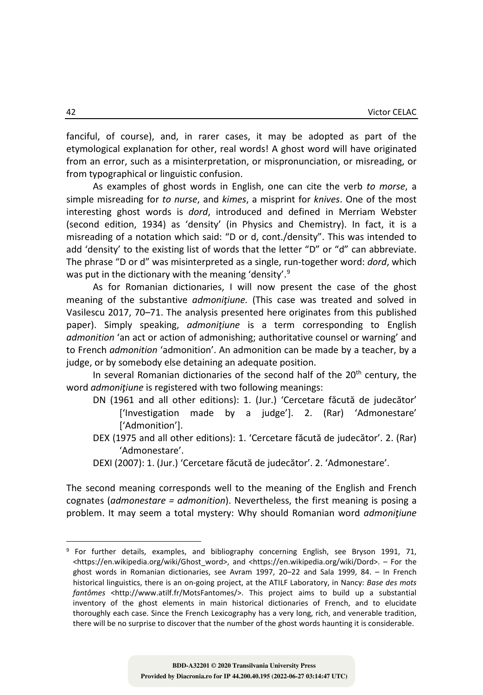fanciful, of course), and, in rarer cases, it may be adopted as part of the etymological explanation for other, real words! A ghost word will have originated from an error, such as a misinterpretation, or mispronunciation, or misreading, or from typographical or linguistic confusion.

As examples of ghost words in English, one can cite the verb *to morse*, a simple misreading for *to nurse*, and *kimes*, a misprint for *knives*. One of the most interesting ghost words is *dord*, introduced and defined in Merriam Webster (second edition, 1934) as 'density' (in Physics and Chemistry). In fact, it is a misreading of a notation which said: "D or d, cont./density". This was intended to add 'density' to the existing list of words that the letter "D" or "d" can abbreviate. The phrase "D or d" was misinterpreted as a single, run-together word: *dord*, which was put in the dictionary with the meaning 'density'.<sup>9</sup>

As for Romanian dictionaries, I will now present the case of the ghost meaning of the substantive *admoniţiune.* (This case was treated and solved in Vasilescu 2017, 70–71. The analysis presented here originates from this published paper). Simply speaking, *admoniţiune* is a term corresponding to English *admonition* 'an act or action of admonishing; authoritative counsel or warning' and to French *admonition* 'admonition'. An admonition can be made by a teacher, by a judge, or by somebody else detaining an adequate position.

In several Romanian dictionaries of the second half of the  $20<sup>th</sup>$  century, the word *admoniţiune* is registered with two following meanings:

- DN (1961 and all other editions): 1. (Jur.) 'Cercetare făcută de judecător' ['Investigation made by a judge']. 2. (Rar) 'Admonestare' ['Admonition'].
- DEX (1975 and all other editions): 1. 'Cercetare făcută de judecător'. 2. (Rar) 'Admonestare'.
- DEXI (2007): 1. (Jur.) 'Cercetare făcută de judecător'. 2. 'Admonestare'.

The second meaning corresponds well to the meaning of the English and French cognates (*admonestare = admonition*). Nevertheless, the first meaning is posing a problem. It may seem a total mystery: Why should Romanian word *admoniţiune*

<sup>9</sup> For further details, examples, and bibliography concerning English, see Bryson 1991, 71, <https://en.wikipedia.org/wiki/Ghost\_word>, and <https://en.wikipedia.org/wiki/Dord>. – For the ghost words in Romanian dictionaries, see Avram 1997, 20–22 and Sala 1999, 84. – In French historical linguistics, there is an on-going project, at the ATILF Laboratory, in Nancy: *Base des mots fantômes* <http://www.atilf.fr/MotsFantomes/>. This project aims to build up a substantial inventory of the ghost elements in main historical dictionaries of French, and to elucidate thoroughly each case. Since the French Lexicography has a very long, rich, and venerable tradition, there will be no surprise to discover that the number of the ghost words haunting it is considerable.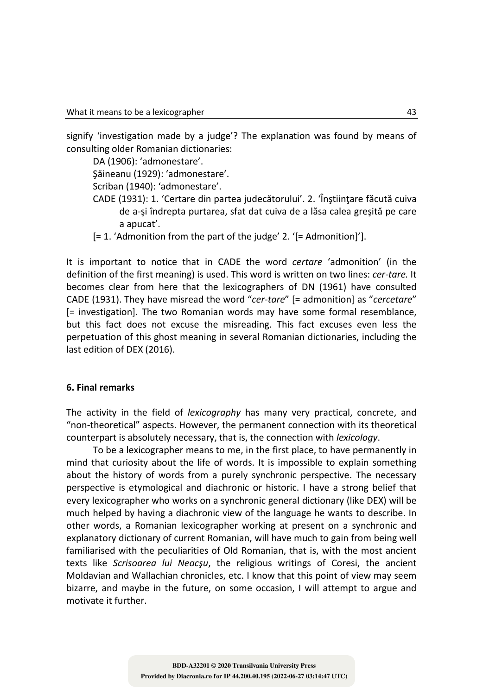signify 'investigation made by a judge'? The explanation was found by means of consulting older Romanian dictionaries:

DA (1906): 'admonestare'.

Şăineanu (1929): 'admonestare'.

Scriban (1940): 'admonestare'.

- CADE (1931): 1. 'Certare din partea judecătorului'. 2. 'Înștiințare făcută cuiva de a-şi îndrepta purtarea, sfat dat cuiva de a lăsa calea greşită pe care a apucat'.
- [= 1. 'Admonition from the part of the judge' 2. '[= Admonition]'].

It is important to notice that in CADE the word *certare* 'admonition' (in the definition of the first meaning) is used. This word is written on two lines: *cer-tare.* It becomes clear from here that the lexicographers of DN (1961) have consulted CADE (1931). They have misread the word "*cer-tare*" [= admonition] as "*cercetare*" [= investigation]. The two Romanian words may have some formal resemblance, but this fact does not excuse the misreading. This fact excuses even less the perpetuation of this ghost meaning in several Romanian dictionaries, including the last edition of DEX (2016).

#### **6. Final remarks**

The activity in the field of *lexicography* has many very practical, concrete, and "non-theoretical" aspects. However, the permanent connection with its theoretical counterpart is absolutely necessary, that is, the connection with *lexicology*.

To be a lexicographer means to me, in the first place, to have permanently in mind that curiosity about the life of words. It is impossible to explain something about the history of words from a purely synchronic perspective. The necessary perspective is etymological and diachronic or historic. I have a strong belief that every lexicographer who works on a synchronic general dictionary (like DEX) will be much helped by having a diachronic view of the language he wants to describe. In other words, a Romanian lexicographer working at present on a synchronic and explanatory dictionary of current Romanian, will have much to gain from being well familiarised with the peculiarities of Old Romanian, that is, with the most ancient texts like *Scrisoarea lui Neacşu*, the religious writings of Coresi, the ancient Moldavian and Wallachian chronicles, etc. I know that this point of view may seem bizarre, and maybe in the future, on some occasion, I will attempt to argue and motivate it further.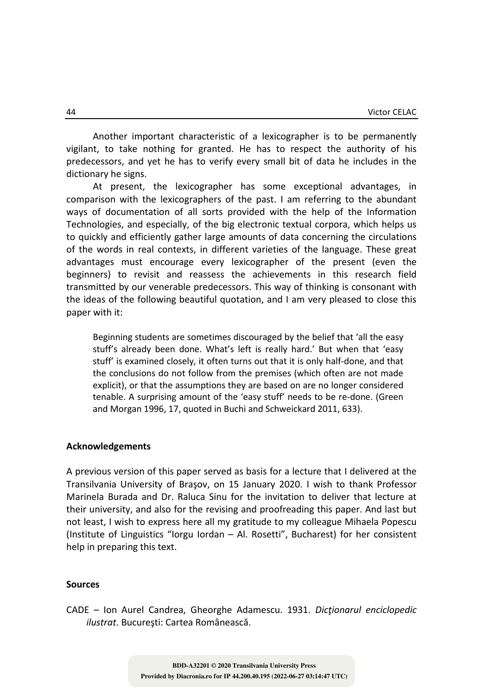Another important characteristic of a lexicographer is to be permanently vigilant, to take nothing for granted. He has to respect the authority of his predecessors, and yet he has to verify every small bit of data he includes in the dictionary he signs.

At present, the lexicographer has some exceptional advantages, in comparison with the lexicographers of the past. I am referring to the abundant ways of documentation of all sorts provided with the help of the Information Technologies, and especially, of the big electronic textual corpora, which helps us to quickly and efficiently gather large amounts of data concerning the circulations of the words in real contexts, in different varieties of the language. These great advantages must encourage every lexicographer of the present (even the beginners) to revisit and reassess the achievements in this research field transmitted by our venerable predecessors. This way of thinking is consonant with the ideas of the following beautiful quotation, and I am very pleased to close this paper with it:

Beginning students are sometimes discouraged by the belief that 'all the easy stuff's already been done. What's left is really hard.' But when that 'easy stuff' is examined closely, it often turns out that it is only half-done, and that the conclusions do not follow from the premises (which often are not made explicit), or that the assumptions they are based on are no longer considered tenable. A surprising amount of the 'easy stuff' needs to be re-done. (Green and Morgan 1996, 17, quoted in Buchi and Schweickard 2011, 633).

#### **Acknowledgements**

A previous version of this paper served as basis for a lecture that I delivered at the Transilvania University of Braşov, on 15 January 2020. I wish to thank Professor Marinela Burada and Dr. Raluca Sinu for the invitation to deliver that lecture at their university, and also for the revising and proofreading this paper. And last but not least, I wish to express here all my gratitude to my colleague Mihaela Popescu (Institute of Linguistics "Iorgu Iordan – Al. Rosetti", Bucharest) for her consistent help in preparing this text.

#### **Sources**

CADE – Ion Aurel Candrea, Gheorghe Adamescu. 1931. *Dicţionarul enciclopedic ilustrat*. Bucureşti: Cartea Românească.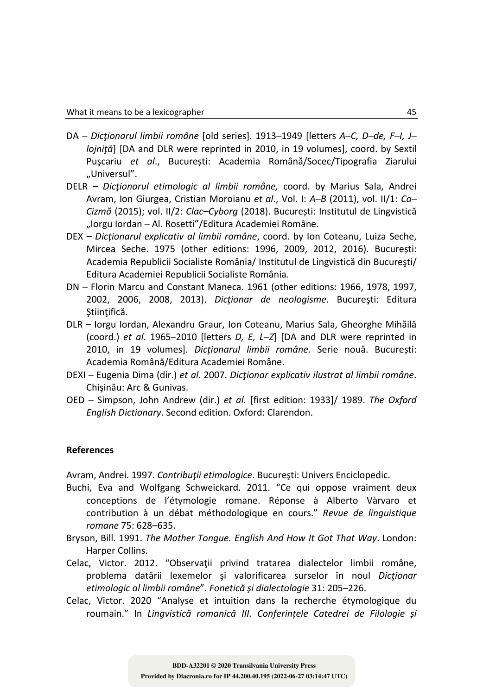- DA *Dicţionarul limbii române* [old series]. 1913–1949 [letters *A–C, D–de, F–I, J– lojniţă*] [DA and DLR were reprinted in 2010, in 19 volumes], coord. by Sextil Puşcariu *et al*., București: Academia Română/Socec/Tipografia Ziarului "Universul".
- DELR *Dicţionarul etimologic al limbii române,* coord. by Marius Sala, Andrei Avram, Ion Giurgea, Cristian Moroianu *et al*., Vol. I: *A–B* (2011), vol. II/1: *Ca– Cizmă* (2015); vol. II/2: *Clac–Cyborg* (2018). București: Institutul de Lingvistică "Iorgu Iordan – Al. Rosetti"/Editura Academiei Române.
- DEX *Dicţionarul explicativ al limbii române*, coord. by Ion Coteanu, Luiza Seche, Mircea Seche. 1975 (other editions: 1996, 2009, 2012, 2016). București: Academia Republicii Socialiste România/ Institutul de Lingvistică din Bucureşti/ Editura Academiei Republicii Socialiste România.
- DN Florin Marcu and Constant Maneca. 1961 (other editions: 1966, 1978, 1997, 2002, 2006, 2008, 2013). *Dicţionar de neologisme*. Bucureşti: Editura Ştiinţifică.
- DLR Iorgu Iordan, Alexandru Graur, Ion Coteanu, Marius Sala, Gheorghe Mihăilă (coord.) *et al*. 1965–2010 [letters *D, E, L–Z*] [DA and DLR were reprinted in 2010, in 19 volumes]. *Dicţionarul limbii române.* Serie nouă. București: Academia Română/Editura Academiei Române.
- DEXI Eugenia Dima (dir.) *et al.* 2007. *Dicţionar explicativ ilustrat al limbii române*. Chişinău: Arc & Gunivas.
- OED Simpson, John Andrew (dir.) *et al.* [first edition: 1933]/ 1989. *The Oxford English Dictionary*. Second edition. Oxford: Clarendon.

## **References**

Avram, Andrei. 1997. *Contribuţii etimologice*. Bucureşti: Univers Enciclopedic.

- Buchi, Eva and Wolfgang Schweickard. 2011. "Ce qui oppose vraiment deux conceptions de l'étymologie romane. Réponse à Alberto Vàrvaro et contribution à un débat méthodologique en cours." *Revue de linguistique romane* 75: 628–635.
- Bryson, Bill. 1991. *The Mother Tongue. English And How It Got That Way*. London: Harper Collins.
- Celac, Victor. 2012. "Observaţii privind tratarea dialectelor limbii române, problema datării lexemelor şi valorificarea surselor în noul *Dicţionar etimologic al limbii române*". *Fonetică şi dialectologie* 31: 205–226.
- Celac, Victor. 2020 "Analyse et intuition dans la recherche étymologique du roumain." In *Lingvistică romanică III. Conferințele Catedrei de Filologie și*